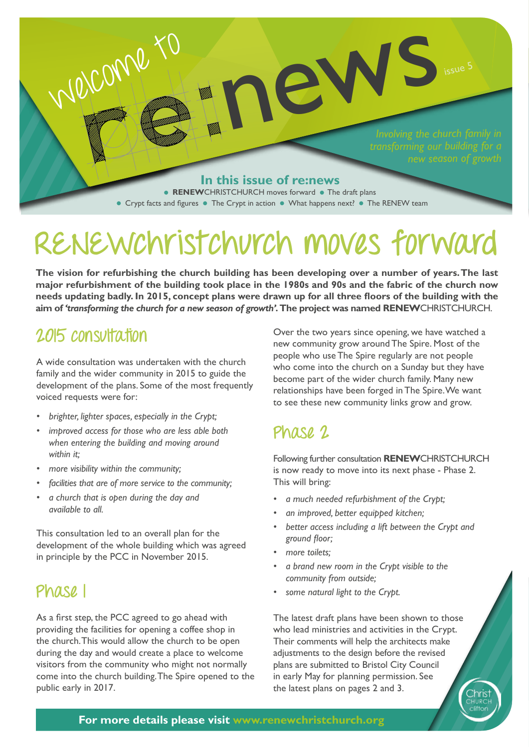

# **RENEWchristchurch moves forward**

**The vision for refurbishing the church building has been developing over a number of years. The last major refurbishment of the building took place in the 1980s and 90s and the fabric of the church now needs updating badly. In 2015, concept plans were drawn up for all three floors of the building with the aim of** *'transforming the church for a new season of growth'.* **The project was named RENEW**CHRISTCHURCH.

### **2015 consultation**

A wide consultation was undertaken with the church family and the wider community in 2015 to guide the development of the plans. Some of the most frequently voiced requests were for:

- *• brighter, lighter spaces, especially in the Crypt;*
- *• improved access for those who are less able both when entering the building and moving around within it;*
- *• more visibility within the community;*
- *• facilities that are of more service to the community;*
- *• a church that is open during the day and available to all.*

This consultation led to an overall plan for the development of the whole building which was agreed in principle by the PCC in November 2015.

#### **Phase 1**

As a first step, the PCC agreed to go ahead with providing the facilities for opening a coffee shop in the church. This would allow the church to be open during the day and would create a place to welcome visitors from the community who might not normally come into the church building. The Spire opened to the public early in 2017.

Over the two years since opening, we have watched a new community grow around The Spire. Most of the people who use The Spire regularly are not people who come into the church on a Sunday but they have become part of the wider church family. Many new relationships have been forged in The Spire. We want to see these new community links grow and grow.

#### **Phase 2**

Following further consultation **RENEW**CHRISTCHURCH is now ready to move into its next phase - Phase 2. This will bring:

- *• a much needed refurbishment of the Crypt;*
- *• an improved, better equipped kitchen;*
- *• better access including a lift between the Crypt and ground floor;*
- *• more toilets;*
- *• a brand new room in the Crypt visible to the community from outside;*
- *• some natural light to the Crypt.*

The latest draft plans have been shown to those who lead ministries and activities in the Crypt. Their comments will help the architects make adjustments to the design before the revised plans are submitted to Bristol City Council in early May for planning permission. See the latest plans on pages 2 and 3.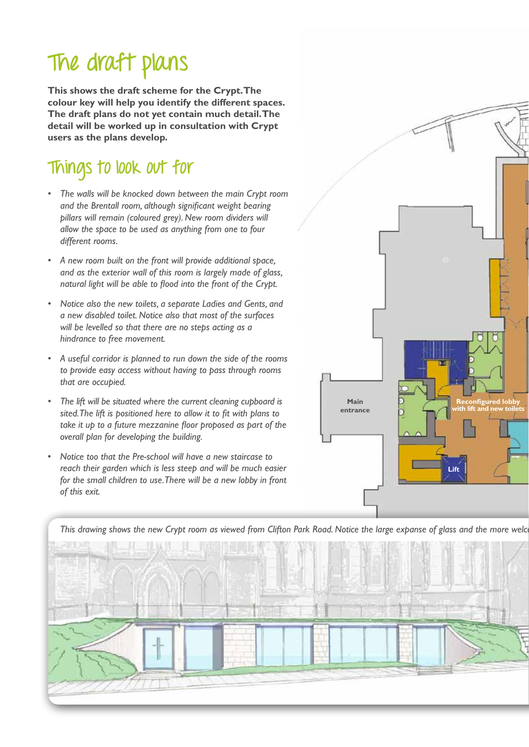# **The draft plans**

**This shows the draft scheme for the Crypt. The colour key will help you identify the different spaces. The draft plans do not yet contain much detail. The detail will be worked up in consultation with Crypt users as the plans develop.**

### **Things to look out for**

- *• The walls will be knocked down between the main Crypt room and the Brentall room, although significant weight bearing pillars will remain (coloured grey). New room dividers will allow the space to be used as anything from one to four different rooms.*
- *• A new room built on the front will provide additional space, and as the exterior wall of this room is largely made of glass, natural light will be able to flood into the front of the Crypt.*
- *• Notice also the new toilets, a separate Ladies and Gents, and a new disabled toilet. Notice also that most of the surfaces will be levelled so that there are no steps acting as a hindrance to free movement.*
- *• A useful corridor is planned to run down the side of the rooms to provide easy access without having to pass through rooms that are occupied.*
- *• The lift will be situated where the current cleaning cupboard is sited.The lift is positioned here to allow it to fit with plans to take it up to a future mezzanine floor proposed as part of the overall plan for developing the building.*
- *• Notice too that the Pre-school will have a new staircase to reach their garden which is less steep and will be much easier for the small children to use. There will be a new lobby in front of this exit.*



*This drawing shows the new Crypt room as viewed from Clifton Park Road. Notice the large expanse of glass and the more welc* 

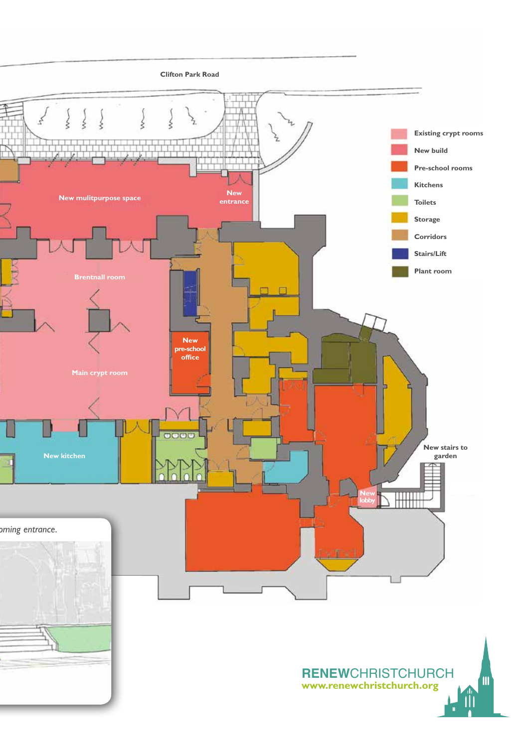